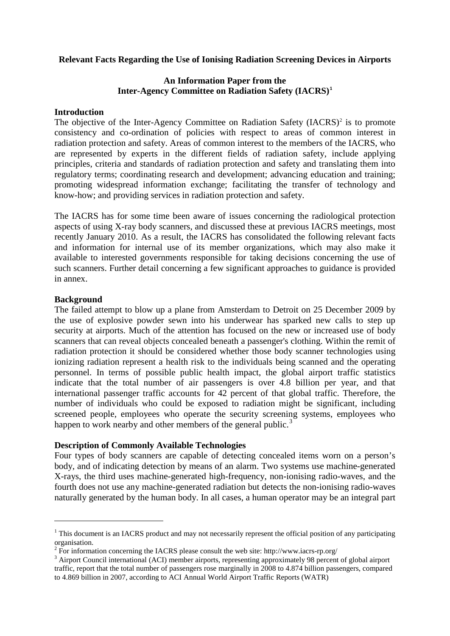## **Relevant Facts Regarding the Use of Ionising Radiation Screening Devices in Airports**

## **An Information Paper from the Inter-Agency Committee on Radiation Safety (IACRS)[1](#page-0-0)**

#### **Introduction**

The objective of the Inter-Agency Committee on Radiation Safety  $(IACRS)^2$  $(IACRS)^2$  is to promote consistency and co-ordination of policies with respect to areas of common interest in radiation protection and safety. Areas of common interest to the members of the IACRS, who are represented by experts in the different fields of radiation safety, include applying principles, criteria and standards of radiation protection and safety and translating them into regulatory terms; coordinating research and development; advancing education and training; promoting widespread information exchange; facilitating the transfer of technology and know-how; and providing services in radiation protection and safety.

The IACRS has for some time been aware of issues concerning the radiological protection aspects of using X-ray body scanners, and discussed these at previous IACRS meetings, most recently January 2010. As a result, the IACRS has consolidated the following relevant facts and information for internal use of its member organizations, which may also make it available to interested governments responsible for taking decisions concerning the use of such scanners. Further detail concerning a few significant approaches to guidance is provided in annex.

#### **Background**

.<br>-

The failed attempt to blow up a plane from Amsterdam to Detroit on 25 December 2009 by the use of explosive powder sewn into his underwear has sparked new calls to step up security at airports. Much of the attention has focused on the new or increased use of body scanners that can reveal objects concealed beneath a passenger's clothing. Within the remit of radiation protection it should be considered whether those body scanner technologies using ionizing radiation represent a health risk to the individuals being scanned and the operating personnel. In terms of possible public health impact, the global airport traffic statistics indicate that the total number of air passengers is over 4.8 billion per year, and that international passenger traffic accounts for 42 percent of that global traffic. Therefore, the number of individuals who could be exposed to radiation might be significant, including screened people, employees who operate the security screening systems, employees who happen to work nearby and other members of the general public.<sup>[3](#page-0-2)</sup>

#### **Description of Commonly Available Technologies**

Four types of body scanners are capable of detecting concealed items worn on a person's body, and of indicating detection by means of an alarm. Two systems use machine-generated X-rays, the third uses machine-generated high-frequency, non-ionising radio-waves, and the fourth does not use any machine-generated radiation but detects the non-ionising radio-waves naturally generated by the human body. In all cases, a human operator may be an integral part

<span id="page-0-0"></span> $1$  This document is an IACRS product and may not necessarily represent the official position of any participating organisation.<br><sup>2</sup> For information concerning the IACRS please consult the web site: http://www.iacrs-rp.org/

<span id="page-0-2"></span><span id="page-0-1"></span><sup>&</sup>lt;sup>3</sup> Airport Council international (ACI) member airports, representing approximately 98 percent of global airport traffic, report that the total number of passengers rose marginally in 2008 to 4.874 billion passengers, compared to 4.869 billion in 2007, according to ACI Annual World Airport Traffic Reports (WATR)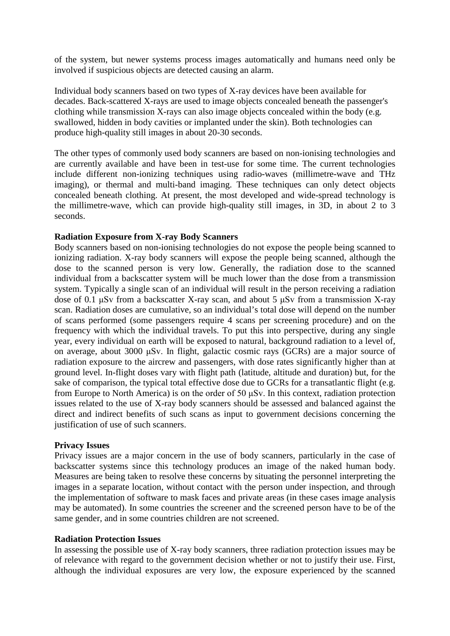of the system, but newer systems process images automatically and humans need only be involved if suspicious objects are detected causing an alarm.

Individual body scanners based on two types of X-ray devices have been available for decades. Back-scattered X-rays are used to image objects concealed beneath the passenger's clothing while transmission X-rays can also image objects concealed within the body (e.g. swallowed, hidden in body cavities or implanted under the skin). Both technologies can produce high-quality still images in about 20-30 seconds.

The other types of commonly used body scanners are based on non-ionising technologies and are currently available and have been in test-use for some time. The current technologies include different non-ionizing techniques using radio-waves (millimetre-wave and THz imaging), or thermal and multi-band imaging. These techniques can only detect objects concealed beneath clothing. At present, the most developed and wide-spread technology is the millimetre-wave, which can provide high-quality still images, in 3D, in about 2 to 3 seconds.

#### **Radiation Exposure from X-ray Body Scanners**

Body scanners based on non-ionising technologies do not expose the people being scanned to ionizing radiation. X-ray body scanners will expose the people being scanned, although the dose to the scanned person is very low. Generally, the radiation dose to the scanned individual from a backscatter system will be much lower than the dose from a transmission system. Typically a single scan of an individual will result in the person receiving a radiation dose of 0.1 μSv from a backscatter X-ray scan, and about 5 μSv from a transmission X-ray scan. Radiation doses are cumulative, so an individual's total dose will depend on the number of scans performed (some passengers require 4 scans per screening procedure) and on the frequency with which the individual travels. To put this into perspective, during any single year, every individual on earth will be exposed to natural, background radiation to a level of, on average, about 3000 μSv. In flight, galactic cosmic rays (GCRs) are a major source of radiation exposure to the aircrew and passengers, with dose rates significantly higher than at ground level. In-flight doses vary with flight path (latitude, altitude and duration) but, for the sake of comparison, the typical total effective dose due to GCRs for a transatlantic flight (e.g. from Europe to North America) is on the order of 50 μSv. In this context, radiation protection issues related to the use of X-ray body scanners should be assessed and balanced against the direct and indirect benefits of such scans as input to government decisions concerning the justification of use of such scanners.

#### **Privacy Issues**

Privacy issues are a major concern in the use of body scanners, particularly in the case of backscatter systems since this technology produces an image of the naked human body. Measures are being taken to resolve these concerns by situating the personnel interpreting the images in a separate location, without contact with the person under inspection, and through the implementation of software to mask faces and private areas (in these cases image analysis may be automated). In some countries the screener and the screened person have to be of the same gender, and in some countries children are not screened.

#### **Radiation Protection Issues**

In assessing the possible use of X-ray body scanners, three radiation protection issues may be of relevance with regard to the government decision whether or not to justify their use. First, although the individual exposures are very low, the exposure experienced by the scanned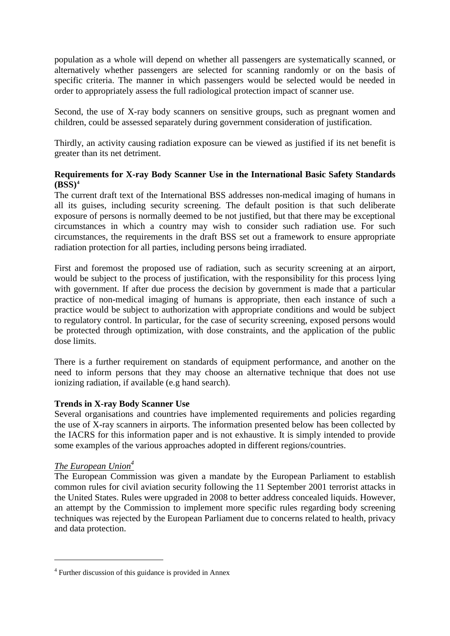population as a whole will depend on whether all passengers are systematically scanned, or alternatively whether passengers are selected for scanning randomly or on the basis of specific criteria. The manner in which passengers would be selected would be needed in order to appropriately assess the full radiological protection impact of scanner use.

Second, the use of X-ray body scanners on sensitive groups, such as pregnant women and children, could be assessed separately during government consideration of justification.

Thirdly, an activity causing radiation exposure can be viewed as justified if its net benefit is greater than its net detriment.

# **Requirements for X-ray Body Scanner Use in the International Basic Safety Standards**  $(BSS)^4$  $(BSS)^4$

The current draft text of the International BSS addresses non-medical imaging of humans in all its guises, including security screening. The default position is that such deliberate exposure of persons is normally deemed to be not justified, but that there may be exceptional circumstances in which a country may wish to consider such radiation use. For such circumstances, the requirements in the draft BSS set out a framework to ensure appropriate radiation protection for all parties, including persons being irradiated.

First and foremost the proposed use of radiation, such as security screening at an airport, would be subject to the process of justification, with the responsibility for this process lying with government. If after due process the decision by government is made that a particular practice of non-medical imaging of humans is appropriate, then each instance of such a practice would be subject to authorization with appropriate conditions and would be subject to regulatory control. In particular, for the case of security screening, exposed persons would be protected through optimization, with dose constraints, and the application of the public dose limits.

There is a further requirement on standards of equipment performance, and another on the need to inform persons that they may choose an alternative technique that does not use ionizing radiation, if available (e.g hand search).

#### **Trends in X-ray Body Scanner Use**

Several organisations and countries have implemented requirements and policies regarding the use of X-ray scanners in airports. The information presented below has been collected by the IACRS for this information paper and is not exhaustive. It is simply intended to provide some examples of the various approaches adopted in different regions/countries.

# *The European Union 4*

.<br>-

The European Commission was given a mandate by the European Parliament to establish common rules for civil aviation security following the 11 September 2001 terrorist attacks in the United States. Rules were upgraded in 2008 to better address concealed liquids. However, an attempt by the Commission to implement more specific rules regarding body screening techniques was rejected by the European Parliament due to concerns related to health, privacy and data protection.

<span id="page-2-0"></span><sup>4</sup> Further discussion of this guidance is provided in Annex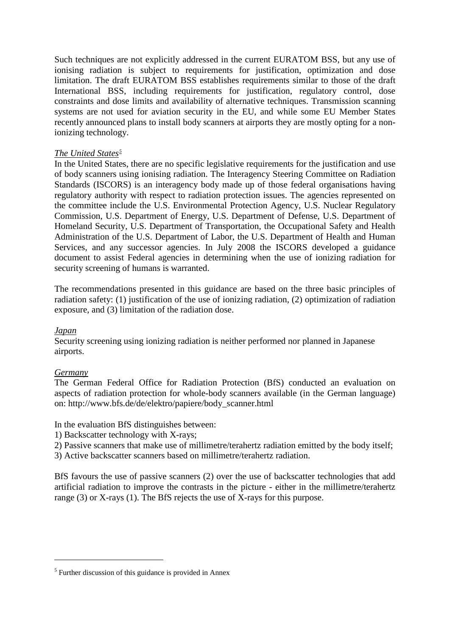Such techniques are not explicitly addressed in the current EURATOM BSS, but any use of ionising radiation is subject to requirements for justification, optimization and dose limitation. The draft EURATOM BSS establishes requirements similar to those of the draft International BSS, including requirements for justification, regulatory control, dose constraints and dose limits and availability of alternative techniques. Transmission scanning systems are not used for aviation security in the EU, and while some EU Member States recently announced plans to install body scanners at airports they are mostly opting for a nonionizing technology.

## *The United States[5](#page-3-0)*

In the United States, there are no specific legislative requirements for the justification and use of body scanners using ionising radiation. The Interagency Steering Committee on Radiation Standards (ISCORS) is an interagency body made up of those federal organisations having regulatory authority with respect to radiation protection issues. The agencies represented on the committee include the U.S. Environmental Protection Agency, U.S. Nuclear Regulatory Commission, U.S. Department of Energy, U.S. Department of Defense, U.S. Department of Homeland Security, U.S. Department of Transportation, the Occupational Safety and Health Administration of the U.S. Department of Labor, the U.S. Department of Health and Human Services, and any successor agencies. In July 2008 the ISCORS developed a guidance document to assist Federal agencies in determining when the use of ionizing radiation for security screening of humans is warranted.

The recommendations presented in this guidance are based on the three basic principles of radiation safety: (1) justification of the use of ionizing radiation, (2) optimization of radiation exposure, and (3) limitation of the radiation dose.

#### *Japan*

Security screening using ionizing radiation is neither performed nor planned in Japanese airports.

#### *Germany*

.<br>-

The German Federal Office for Radiation Protection (BfS) conducted an evaluation on aspects of radiation protection for whole-body scanners available (in the German language) on: [http://www.bfs.de/de/elektro/papiere/body\\_scanner.html](http://www.bfs.de/de/elektro/papiere/body_scanner.html)

#### In the evaluation BfS distinguishes between:

1) Backscatter technology with X-rays;

2) Passive scanners that make use of millimetre/terahertz radiation emitted by the body itself;

3) Active backscatter scanners based on millimetre/terahertz radiation.

BfS favours the use of passive scanners (2) over the use of backscatter technologies that add artificial radiation to improve the contrasts in the picture - either in the millimetre/terahertz range (3) or X-rays (1). The BfS rejects the use of X-rays for this purpose.

<span id="page-3-0"></span><sup>5</sup> Further discussion of this guidance is provided in Annex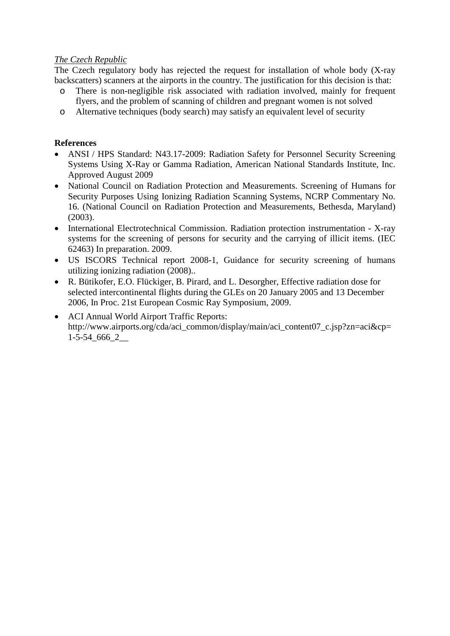## *The Czech Republic*

The Czech regulatory body has rejected the request for installation of whole body (X-ray backscatters) scanners at the airports in the country. The justification for this decision is that:

- o There is non-negligible risk associated with radiation involved, mainly for frequent flyers, and the problem of scanning of children and pregnant women is not solved
- o Alternative techniques (body search) may satisfy an equivalent level of security

## **References**

- ANSI / HPS Standard: N43.17-2009: Radiation Safety for Personnel Security Screening Systems Using X-Ray or Gamma Radiation, American National Standards Institute, Inc. Approved August 2009
- National Council on Radiation Protection and Measurements. Screening of Humans for Security Purposes Using Ionizing Radiation Scanning Systems, NCRP Commentary No. 16. (National Council on Radiation Protection and Measurements, Bethesda, Maryland) (2003).
- International Electrotechnical Commission. Radiation protection instrumentation X-ray systems for the screening of persons for security and the carrying of illicit items. (IEC 62463) In preparation. 2009.
- US ISCORS Technical report 2008-1, Guidance for security screening of humans utilizing ionizing radiation (2008)..
- R. Bütikofer, E.O. Flückiger, B. Pirard, and L. Desorgher, Effective radiation dose for selected intercontinental flights during the GLEs on 20 January 2005 and 13 December 2006, In Proc. 21st European Cosmic Ray Symposium, 2009.
- ACI Annual World Airport Traffic Reports: http://www.airports.org/cda/aci\_common/display/main/aci\_content07\_c.jsp?zn=aci&cp= 1-5-54\_666\_2\_\_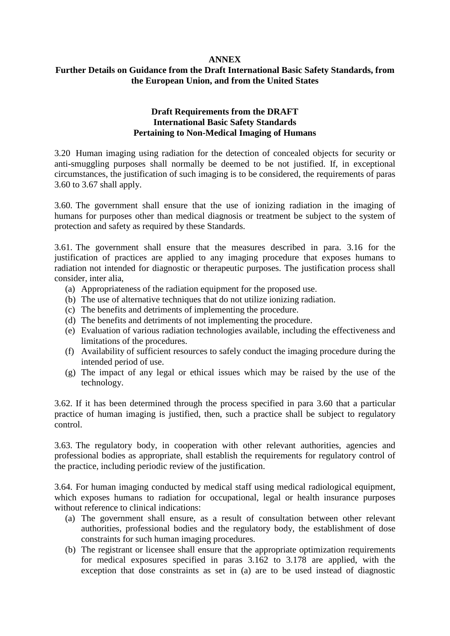#### **ANNEX**

# **Further Details on Guidance from the Draft International Basic Safety Standards, from the European Union, and from the United States**

## **Draft Requirements from the DRAFT International Basic Safety Standards Pertaining to Non-Medical Imaging of Humans**

3.20 Human imaging using radiation for the detection of concealed objects for security or anti-smuggling purposes shall normally be deemed to be not justified. If, in exceptional circumstances, the justification of such imaging is to be considered, the requirements of paras 3.60 to 3.67 shall apply.

3.60. The government shall ensure that the use of ionizing radiation in the imaging of humans for purposes other than medical diagnosis or treatment be subject to the system of protection and safety as required by these Standards.

3.61. The government shall ensure that the measures described in para. 3.16 for the justification of practices are applied to any imaging procedure that exposes humans to radiation not intended for diagnostic or therapeutic purposes. The justification process shall consider, inter alia,

- (a) Appropriateness of the radiation equipment for the proposed use.
- (b) The use of alternative techniques that do not utilize ionizing radiation.
- (c) The benefits and detriments of implementing the procedure.
- (d) The benefits and detriments of not implementing the procedure.
- (e) Evaluation of various radiation technologies available, including the effectiveness and limitations of the procedures.
- (f) Availability of sufficient resources to safely conduct the imaging procedure during the intended period of use.
- (g) The impact of any legal or ethical issues which may be raised by the use of the technology.

3.62. If it has been determined through the process specified in para 3.60 that a particular practice of human imaging is justified, then, such a practice shall be subject to regulatory control.

3.63. The regulatory body, in cooperation with other relevant authorities, agencies and professional bodies as appropriate, shall establish the requirements for regulatory control of the practice, including periodic review of the justification.

3.64. For human imaging conducted by medical staff using medical radiological equipment, which exposes humans to radiation for occupational, legal or health insurance purposes without reference to clinical indications:

- (a) The government shall ensure, as a result of consultation between other relevant authorities, professional bodies and the regulatory body, the establishment of dose constraints for such human imaging procedures.
- (b) The registrant or licensee shall ensure that the appropriate optimization requirements for medical exposures specified in paras 3.162 to 3.178 are applied, with the exception that dose constraints as set in (a) are to be used instead of diagnostic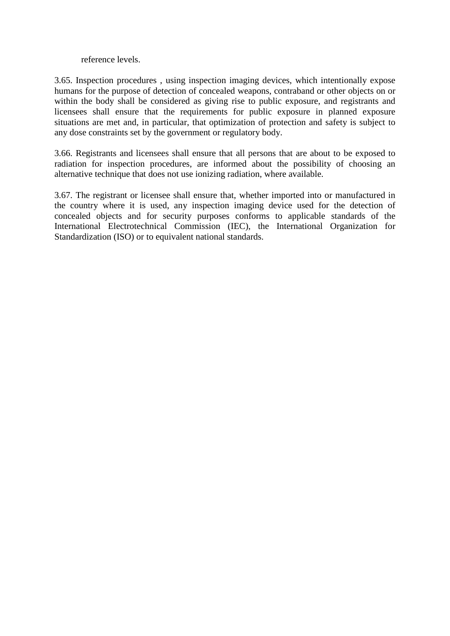#### reference levels.

3.65. Inspection procedures , using inspection imaging devices, which intentionally expose humans for the purpose of detection of concealed weapons, contraband or other objects on or within the body shall be considered as giving rise to public exposure, and registrants and licensees shall ensure that the requirements for public exposure in planned exposure situations are met and, in particular, that optimization of protection and safety is subject to any dose constraints set by the government or regulatory body.

3.66. Registrants and licensees shall ensure that all persons that are about to be exposed to radiation for inspection procedures, are informed about the possibility of choosing an alternative technique that does not use ionizing radiation, where available.

3.67. The registrant or licensee shall ensure that, whether imported into or manufactured in the country where it is used, any inspection imaging device used for the detection of concealed objects and for security purposes conforms to applicable standards of the International Electrotechnical Commission (IEC), the International Organization for Standardization (ISO) or to equivalent national standards.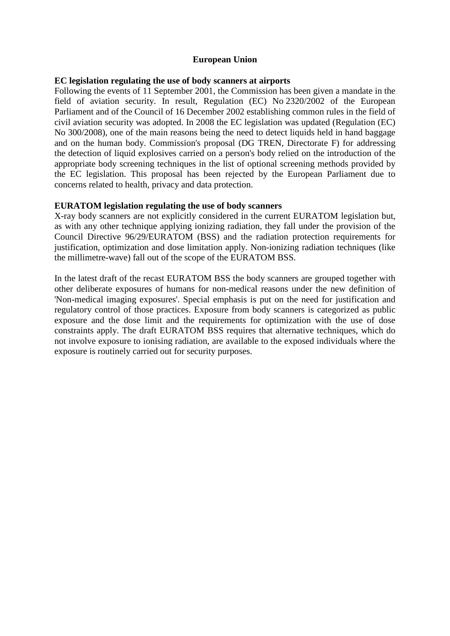## **European Union**

#### **EC legislation regulating the use of body scanners at airports**

Following the events of 11 September 2001, the Commission has been given a mandate in the field of aviation security. In result, Regulation (EC) No 2320/2002 of the European Parliament and of the Council of 16 December 2002 establishing common rules in the field of civil aviation security was adopted. In 2008 the EC legislation was updated (Regulation (EC) No 300/2008), one of the main reasons being the need to detect liquids held in hand baggage and on the human body. Commission's proposal (DG TREN, Directorate F) for addressing the detection of liquid explosives carried on a person's body relied on the introduction of the appropriate body screening techniques in the list of optional screening methods provided by the EC legislation. This proposal has been rejected by the European Parliament due to concerns related to health, privacy and data protection.

#### **EURATOM legislation regulating the use of body scanners**

X-ray body scanners are not explicitly considered in the current EURATOM legislation but, as with any other technique applying ionizing radiation, they fall under the provision of the Council Directive 96/29/EURATOM (BSS) and the radiation protection requirements for justification, optimization and dose limitation apply. Non-ionizing radiation techniques (like the millimetre-wave) fall out of the scope of the EURATOM BSS.

In the latest draft of the recast EURATOM BSS the body scanners are grouped together with other deliberate exposures of humans for non-medical reasons under the new definition of 'Non-medical imaging exposures'. Special emphasis is put on the need for justification and regulatory control of those practices. Exposure from body scanners is categorized as public exposure and the dose limit and the requirements for optimization with the use of dose constraints apply. The draft EURATOM BSS requires that alternative techniques, which do not involve exposure to ionising radiation, are available to the exposed individuals where the exposure is routinely carried out for security purposes.